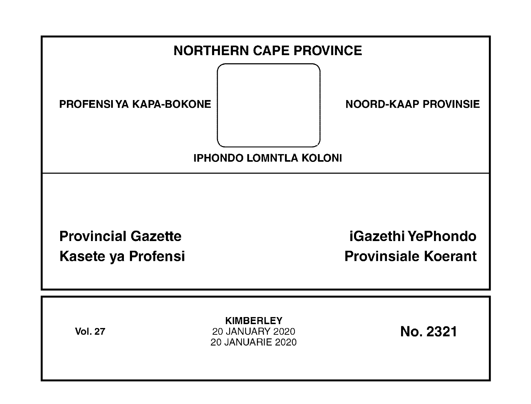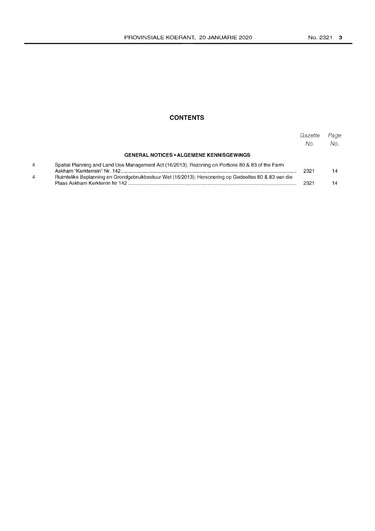# **CONTENTS**

|                                                                                                      | Gazette<br>No. | Page<br>No. |
|------------------------------------------------------------------------------------------------------|----------------|-------------|
| <b>GENERAL NOTICES • ALGEMENE KENNISGEWINGS</b>                                                      |                |             |
| Spatial Planning and Land Use Management Act (16/2013): Rezoning on Portions 80 & 83 of the Farm     | 2321           |             |
| Ruimtelike Beplanning en Grondgebruikbestuur Wet (16/2013): Hersonering op Gedeeltes 80 & 83 van die | 2321           |             |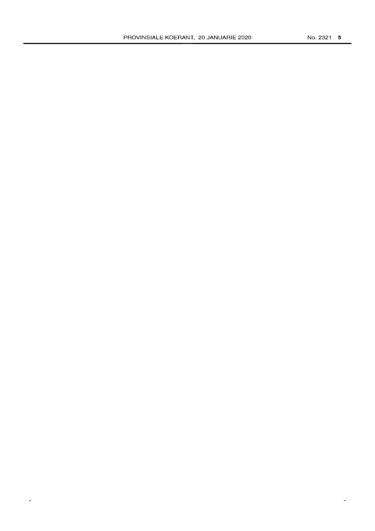$\mathbf{L}$ 

 $\overline{\phantom{a}}$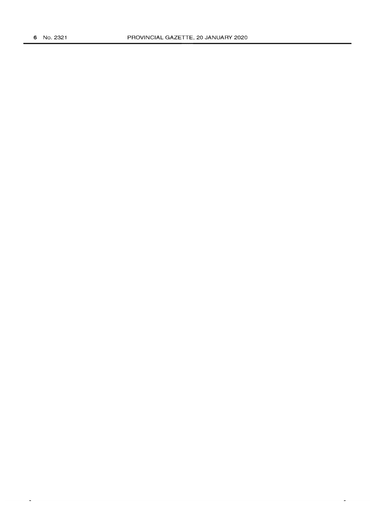$\Box$ 

 $\tilde{\phantom{a}}$